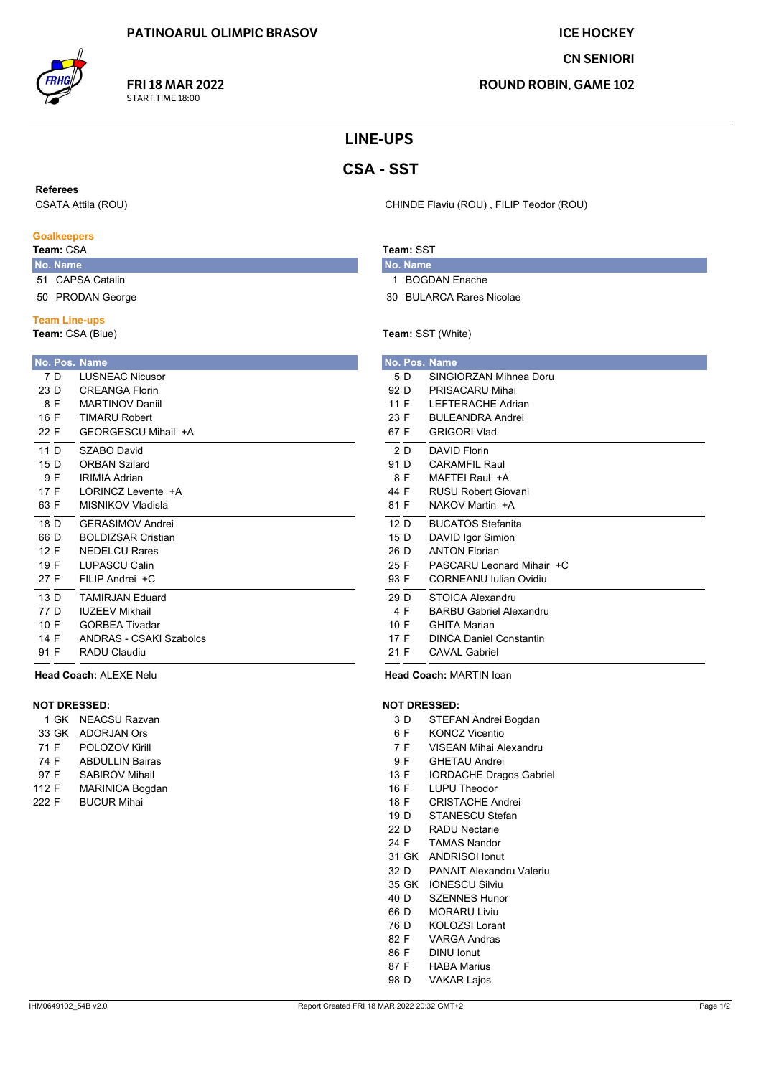**FRI 18 MAR 2022** 

START TIME 18:00

**ICE HOCKEY** 

**CN SENIORI** 

**ROUND ROBIN, GAME 102** 

# **LINE-UPS**

# **CSA - SST**

**Referees** 

CSATA Attila (ROU)

#### **Goalkeepers**

Team: CSA

- No. Name 51 CAPSA Catalin
- 50 PRODAN George

#### **Team Line-ups**

Team: CSA (Blue)

|                                                 |              | <b>No. Pos. Name</b>                                                                                                |
|-------------------------------------------------|--------------|---------------------------------------------------------------------------------------------------------------------|
| 7 D<br>23 D<br>16 F<br>22 F                     | 8 F          | <b>LUSNEAC Nicusor</b><br>CRFANGA Florin<br><b>MARTINOV Daniil</b><br><b>TIMARU Robert</b><br>GFORGESCU Mihail +A   |
| 11 <sub>D</sub><br>15 D<br>9 F<br>17 F<br>63 F  |              | SZABO David<br><b>ORBAN Szilard</b><br><b>IRIMIA Adrian</b><br>I ORINCZ Levente +A<br>MISNIKOV Vladisla             |
| 18 D<br>66 D<br>27 F                            | 12 F<br>19 F | <b>GFRASIMOV Andrei</b><br><b>BOLDIZSAR Cristian</b><br>NEDEL CU Rares<br><b>I UPASCU Calin</b><br>FII IP Andrei +C |
| 13 <sub>D</sub><br>77 D<br>10 F<br>14 F<br>91 F |              | <b>TAMIRJAN Fduard</b><br><b>IUZEEV Mikhail</b><br><b>GORBEA Tivadar</b><br>ANDRAS - CSAKI Szabolcs<br>RADU Claudiu |

## Head Coach: ALEXE Nelu

### **NOT DRESSED:**

|       |       | 1 GK NEACSU Razvan     |
|-------|-------|------------------------|
|       | 33 GK | ADORJAN Ors            |
| 71 F  |       | POLOZOV Kirill         |
| 74 F  |       | <b>ABDULLIN Bairas</b> |
| 97 F  |       | <b>SABIROV Mihail</b>  |
| 112 F |       | <b>MARINICA Bogdan</b> |
| 222 F |       | <b>BUCUR Mihai</b>     |
|       |       |                        |

CHINDE Flaviu (ROU), FILIP Teodor (ROU)

## Team: SST

- No. Name 1 BOGDAN Enache
- 30 BULARCA Rares Nicolae

### Team: SST (White)

|      |     | <b>No. Pos. Name</b>           |
|------|-----|--------------------------------|
|      | 5 D | SINGIORZAN Mihnea Doru         |
| 92 D |     | PRISACARU Mihai                |
| 11 F |     | <b>I FFTFRACHF Adrian</b>      |
| 23 F |     | <b>BULEANDRA Andrei</b>        |
| 67 F |     | <b>GRIGORI Vlad</b>            |
|      | 2 D | <b>DAVID Florin</b>            |
| 91 D |     | CARAMEII Raul                  |
| 8 F  |     | MAFTFI Raul +A                 |
| 44 F |     | <b>RUSU Robert Giovani</b>     |
| 81 F |     | NAKOV Martin +A                |
| 12 D |     | <b>BUCATOS Stefanita</b>       |
| 15 D |     | DAVID Igor Simion              |
| 26 D |     | <b>ANTON Florian</b>           |
| 25 F |     | PASCARU Leonard Mihair +C      |
| 93 F |     | <b>CORNEANU Iulian Ovidiu</b>  |
| 29 D |     | STOICA Alexandru               |
| 4 F  |     | <b>BARBU Gabriel Alexandru</b> |
| 10 F |     | <b>GHITA Marian</b>            |
| 17 F |     | <b>DINCA Daniel Constantin</b> |
| 21 F |     | <b>CAVAL Gabriel</b>           |

Head Coach: MARTIN loan

#### **NOT DRESSED:**

- $3D$ STEFAN Andrei Bogdan
- 6 F **KONCZ Vicentio**
- VISEAN Mihai Alexandru  $7F$
- 9F **GHETAU Andrei**
- 13 F **IORDACHE Dragos Gabriel**
- 16 F LUPU Theodor
- 18 F **CRISTACHE Andrei**
- STANESCU Stefan  $19D$
- $22D$ **RADU Nectarie**
- 24 F **TAMAS Nandor**
- 31 GK ANDRISOI Ionut
- 32 D PANAIT Alexandru Valeriu
- 35 GK IONESCU Silviu **SZENNES Hunor**  $40<sub>D</sub>$
- 
- 66 D **MORARU Liviu**
- 76 D **KOLOZSI Lorant**
- 82 F **VARGA Andras**
- 86 F **DINU** Ionut
- 87 F **HABA Marius**
- 98 D **VAKAR Lajos**